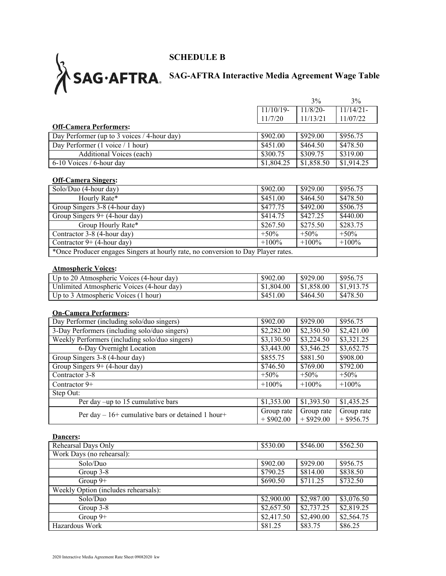## **SCHEDULE B**

## **SAG-AFTRA Interactive Media Agreement Wage Table**

|                                                                                   |                            | 3%                         | 3%                         |
|-----------------------------------------------------------------------------------|----------------------------|----------------------------|----------------------------|
|                                                                                   | $11/10/19$ -               | $11/8/20-$                 | $11/14/21-$                |
|                                                                                   | 11/7/20                    | 11/13/21                   | 11/07/22                   |
| <b>Off-Camera Performers:</b>                                                     |                            |                            |                            |
| Day Performer (up to 3 voices / 4-hour day)                                       | \$902.00                   | \$929.00                   | \$956.75                   |
| Day Performer (1 voice / 1 hour)                                                  | \$451.00                   | \$464.50                   | \$478.50                   |
| <b>Additional Voices (each)</b>                                                   | \$300.75                   | \$309.75                   | \$319.00                   |
| 6-10 Voices / 6-hour day                                                          | \$1,804.25                 | \$1,858.50                 | \$1,914.25                 |
| <b>Off-Camera Singers:</b>                                                        |                            |                            |                            |
| Solo/Duo (4-hour day)                                                             | \$902.00                   | \$929.00                   | \$956.75                   |
| Hourly Rate*                                                                      | \$451.00                   | \$464.50                   | \$478.50                   |
| Group Singers 3-8 (4-hour day)                                                    | \$477.75                   | \$492.00                   | \$506.75                   |
| Group Singers $9+ (4$ -hour day)                                                  | \$414.75                   | \$427.25                   | \$440.00                   |
| Group Hourly Rate*                                                                | \$267.50                   | \$275.50                   | \$283.75                   |
| Contractor 3-8 (4-hour day)                                                       | $+50%$                     | $+50%$                     | $+50%$                     |
| Contractor $9+ (4$ -hour day)                                                     | $+100%$                    | $+100%$                    | $+100%$                    |
| *Once Producer engages Singers at hourly rate, no conversion to Day Player rates. |                            |                            |                            |
|                                                                                   |                            |                            |                            |
| <b>Atmospheric Voices:</b><br>Up to 20 Atmospheric Voices (4-hour day)            | \$902.00                   | \$929.00                   | \$956.75                   |
| Unlimited Atmospheric Voices (4-hour day)                                         | \$1,804.00                 | \$1,858.00                 | \$1,913.75                 |
| Up to 3 Atmospheric Voices (1 hour)                                               | \$451.00                   | \$464.50                   | \$478.50                   |
|                                                                                   |                            |                            |                            |
| <b>On-Camera Performers:</b>                                                      |                            |                            |                            |
| Day Performer (including solo/duo singers)                                        | \$902.00                   | \$929.00                   | \$956.75                   |
| 3-Day Performers (including solo/duo singers)                                     | \$2,282.00                 | \$2,350.50                 | \$2,421.00                 |
| Weekly Performers (including solo/duo singers)                                    | \$3,130.50                 | \$3,224.50                 | \$3,321.25                 |
| 6-Day Overnight Location                                                          | \$3,443.00                 | \$3,546.25                 | \$3,652.75                 |
| Group Singers 3-8 (4-hour day)                                                    | \$855.75                   | \$881.50                   | \$908.00                   |
| Group Singers 9+ (4-hour day)                                                     | \$746.50                   | \$769.00                   | \$792.00                   |
| Contractor 3-8                                                                    | $+50%$                     | $+50%$                     | $+50%$                     |
| Contractor 9+                                                                     | $+100%$                    | $+100%$                    | $+100%$                    |
| Step Out:                                                                         |                            |                            |                            |
| Per day -up to 15 cumulative bars                                                 | \$1,353.00                 | \$1,393.50                 | \$1,435.25                 |
| Per day – 16+ cumulative bars or detained 1 hour+                                 | Group rate<br>$+$ \$902.00 | Group rate<br>$+$ \$929.00 | Group rate<br>$+$ \$956.75 |
|                                                                                   |                            |                            |                            |
| Dancers:<br>Rehearsal Days Only                                                   | \$530.00                   | \$546.00                   | \$562.50                   |
| Work Days (no rehearsal):                                                         |                            |                            |                            |
| Solo/Duo                                                                          |                            |                            |                            |
|                                                                                   | \$902.00                   | \$929.00                   | \$956.75<br>\$838.50       |
| Group 3-8                                                                         | \$790.25                   | \$814.00                   |                            |
| Group $9+$                                                                        | \$690.50                   | \$711.25                   | \$732.50                   |
| Weekly Option (includes rehearsals):                                              |                            |                            |                            |
| Solo/Duo                                                                          | \$2,900.00                 | \$2,987.00                 | \$3,076.50                 |
| Group 3-8                                                                         | \$2,657.50                 | \$2,737.25                 | \$2,819.25                 |
| Group $9+$                                                                        | \$2,417.50                 | \$2,490.00                 | \$2,564.75                 |
| Hazardous Work                                                                    | \$81.25                    | \$83.75                    | \$86.25                    |